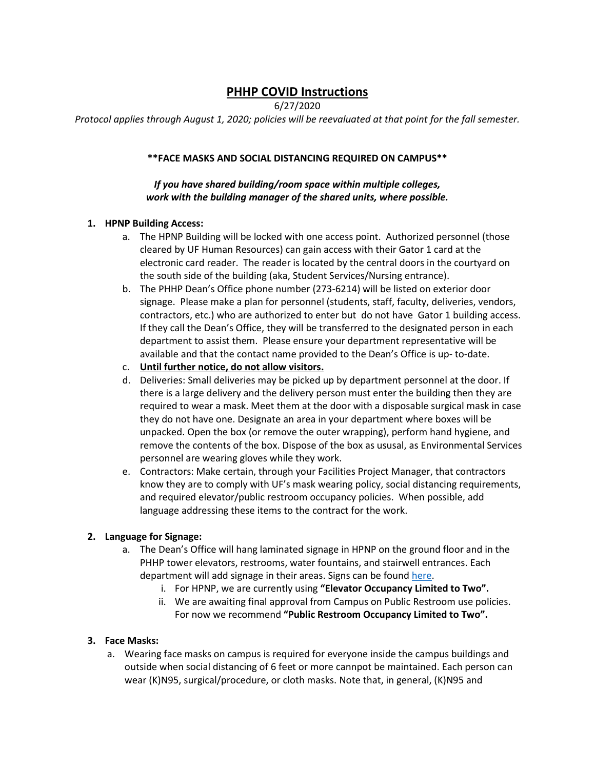# **PHHP COVID Instructions**

6/27/2020

*Protocol applies through August 1, 2020; policies will be reevaluated at that point for the fall semester.*

#### **\*\*FACE MASKS AND SOCIAL DISTANCING REQUIRED ON CAMPUS\*\***

#### *If you have shared building/room space within multiple colleges, work with the building manager of the shared units, where possible.*

## **1. HPNP Building Access:**

- a. The HPNP Building will be locked with one access point. Authorized personnel (those cleared by UF Human Resources) can gain access with their Gator 1 card at the electronic card reader. The reader is located by the central doors in the courtyard on the south side of the building (aka, Student Services/Nursing entrance).
- b. The PHHP Dean's Office phone number (273-6214) will be listed on exterior door signage. Please make a plan for personnel (students, staff, faculty, deliveries, vendors, contractors, etc.) who are authorized to enter but do not have Gator 1 building access. If they call the Dean's Office, they will be transferred to the designated person in each department to assist them. Please ensure your department representative will be available and that the contact name provided to the Dean's Office is up- to-date.
- c. **Until further notice, do not allow visitors.**
- d. Deliveries: Small deliveries may be picked up by department personnel at the door. If there is a large delivery and the delivery person must enter the building then they are required to wear a mask. Meet them at the door with a disposable surgical mask in case they do not have one. Designate an area in your department where boxes will be unpacked. Open the box (or remove the outer wrapping), perform hand hygiene, and remove the contents of the box. Dispose of the box as ususal, as Environmental Services personnel are wearing gloves while they work.
- e. Contractors: Make certain, through your Facilities Project Manager, that contractors know they are to comply with UF's mask wearing policy, social distancing requirements, and required elevator/public restroom occupancy policies. When possible, add language addressing these items to the contract for the work.

# **2. Language for Signage:**

- a. The Dean's Office will hang laminated signage in HPNP on the ground floor and in the PHHP tower elevators, restrooms, water fountains, and stairwell entrances. Each department will add signage in their areas. Signs can be foun[d here.](https://coronavirus.ufhealth.org/screen-test-protect/for-communicators/ready-to-go-assets/)
	- i. For HPNP, we are currently using **"Elevator Occupancy Limited to Two".**
	- ii. We are awaiting final approval from Campus on Public Restroom use policies. For now we recommend **"Public Restroom Occupancy Limited to Two".**

#### **3. Face Masks:**

a. Wearing face masks on campus is required for everyone inside the campus buildings and outside when social distancing of 6 feet or more cannpot be maintained. Each person can wear (K)N95, surgical/procedure, or cloth masks. Note that, in general, (K)N95 and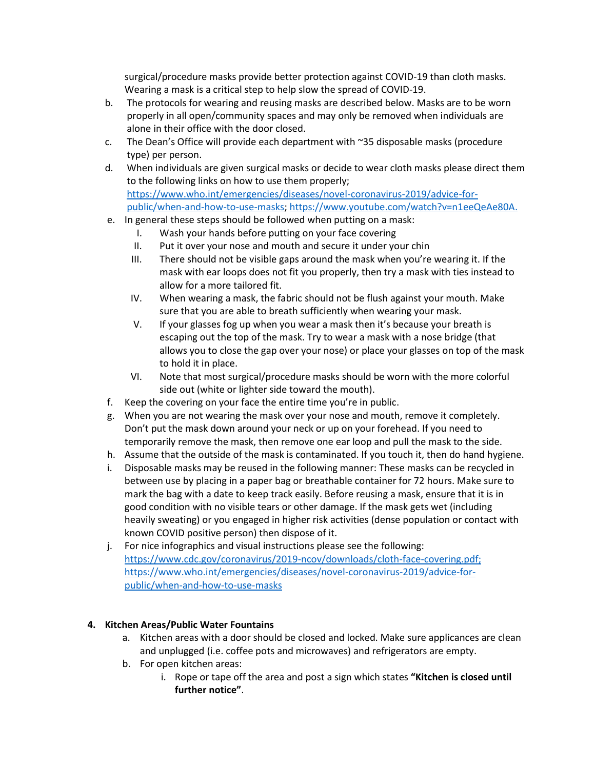surgical/procedure masks provide better protection against COVID-19 than cloth masks. Wearing a mask is a critical step to help slow the spread of COVID-19.

- b. The protocols for wearing and reusing masks are described below. Masks are to be worn properly in all open/community spaces and may only be removed when individuals are alone in their office with the door closed.
- c. The Dean's Office will provide each department with  $\sim$ 35 disposable masks (procedure type) per person.
- d. When individuals are given surgical masks or decide to wear cloth masks please direct them to the following links on how to use them properly; [https://www.who.int/emergencies/diseases/novel-coronavirus-2019/advice-for](https://www.who.int/emergencies/diseases/novel-coronavirus-2019/advice-for-public/when-and-how-to-use-masks)[public/when-and-how-to-use-masks;](https://www.who.int/emergencies/diseases/novel-coronavirus-2019/advice-for-public/when-and-how-to-use-masks) [https://www.youtube.com/watch?v=n1eeQeAe80A.](https://www.youtube.com/watch?v=n1eeQeAe80A)
- e. In general these steps should be followed when putting on a mask:
	- I. Wash your hands before putting on your face covering
	- II. Put it over your nose and mouth and secure it under your chin
	- III. There should not be visible gaps around the mask when you're wearing it. If the mask with ear loops does not fit you properly, then try a mask with ties instead to allow for a more tailored fit.
	- IV. When wearing a mask, the fabric should not be flush against your mouth. Make sure that you are able to breath sufficiently when wearing your mask.
	- V. If your glasses fog up when you wear a mask then it's because your breath is escaping out the top of the mask. Try to wear a mask with a nose bridge (that allows you to close the gap over your nose) or place your glasses on top of the mask to hold it in place.
	- VI. Note that most surgical/procedure masks should be worn with the more colorful side out (white or lighter side toward the mouth).
- f. Keep the covering on your face the entire time you're in public.
- g. When you are not wearing the mask over your nose and mouth, remove it completely. Don't put the mask down around your neck or up on your forehead. If you need to temporarily remove the mask, then remove one ear loop and pull the mask to the side.
- h. Assume that the outside of the mask is contaminated. If you touch it, then do hand hygiene.
- i. Disposable masks may be reused in the following manner: These masks can be recycled in between use by placing in a paper bag or breathable container for 72 hours. Make sure to mark the bag with a date to keep track easily. Before reusing a mask, ensure that it is in good condition with no visible tears or other damage. If the mask gets wet (including heavily sweating) or you engaged in higher risk activities (dense population or contact with known COVID positive person) then dispose of it.
- j. For nice infographics and visual instructions please see the following: [https://www.cdc.gov/coronavirus/2019-ncov/downloads/cloth-face-covering.pdf;](https://www.cdc.gov/coronavirus/2019-ncov/downloads/cloth-face-covering.pdf) [https://www.who.int/emergencies/diseases/novel-coronavirus-2019/advice-for](https://www.who.int/emergencies/diseases/novel-coronavirus-2019/advice-for-public/when-and-how-to-use-masks)[public/when-and-how-to-use-masks](https://www.who.int/emergencies/diseases/novel-coronavirus-2019/advice-for-public/when-and-how-to-use-masks)

# **4. Kitchen Areas/Public Water Fountains**

- a. Kitchen areas with a door should be closed and locked. Make sure applicances are clean and unplugged (i.e. coffee pots and microwaves) and refrigerators are empty.
- b. For open kitchen areas:
	- i. Rope or tape off the area and post a sign which states **"Kitchen is closed until further notice"**.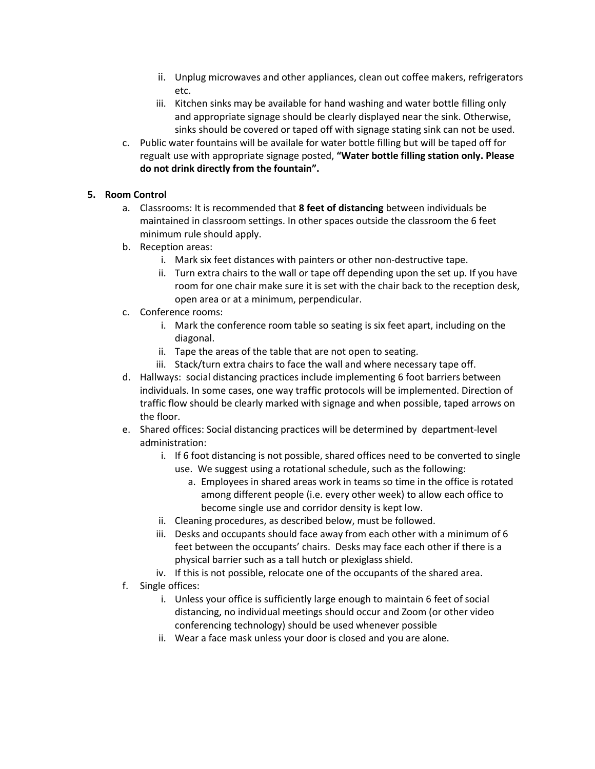- ii. Unplug microwaves and other appliances, clean out coffee makers, refrigerators etc.
- iii. Kitchen sinks may be available for hand washing and water bottle filling only and appropriate signage should be clearly displayed near the sink. Otherwise, sinks should be covered or taped off with signage stating sink can not be used.
- c. Public water fountains will be availale for water bottle filling but will be taped off for regualt use with appropriate signage posted, **"Water bottle filling station only. Please do not drink directly from the fountain".**

# **5. Room Control**

- a. Classrooms: It is recommended that **8 feet of distancing** between individuals be maintained in classroom settings. In other spaces outside the classroom the 6 feet minimum rule should apply.
- b. Reception areas:
	- i. Mark six feet distances with painters or other non-destructive tape.
	- ii. Turn extra chairs to the wall or tape off depending upon the set up. If you have room for one chair make sure it is set with the chair back to the reception desk, open area or at a minimum, perpendicular.
- c. Conference rooms:
	- i. Mark the conference room table so seating is six feet apart, including on the diagonal.
	- ii. Tape the areas of the table that are not open to seating.
	- iii. Stack/turn extra chairs to face the wall and where necessary tape off.
- d. Hallways: social distancing practices include implementing 6 foot barriers between individuals. In some cases, one way traffic protocols will be implemented. Direction of traffic flow should be clearly marked with signage and when possible, taped arrows on the floor.
- e. Shared offices: Social distancing practices will be determined by department-level administration:
	- i. If 6 foot distancing is not possible, shared offices need to be converted to single use. We suggest using a rotational schedule, such as the following:
		- a. Employees in shared areas work in teams so time in the office is rotated among different people (i.e. every other week) to allow each office to become single use and corridor density is kept low.
	- ii. Cleaning procedures, as described below, must be followed.
	- iii. Desks and occupants should face away from each other with a minimum of 6 feet between the occupants' chairs. Desks may face each other if there is a physical barrier such as a tall hutch or plexiglass shield.
	- iv. If this is not possible, relocate one of the occupants of the shared area.
- f. Single offices:
	- i. Unless your office is sufficiently large enough to maintain 6 feet of social distancing, no individual meetings should occur and Zoom (or other video conferencing technology) should be used whenever possible
	- ii. Wear a face mask unless your door is closed and you are alone.